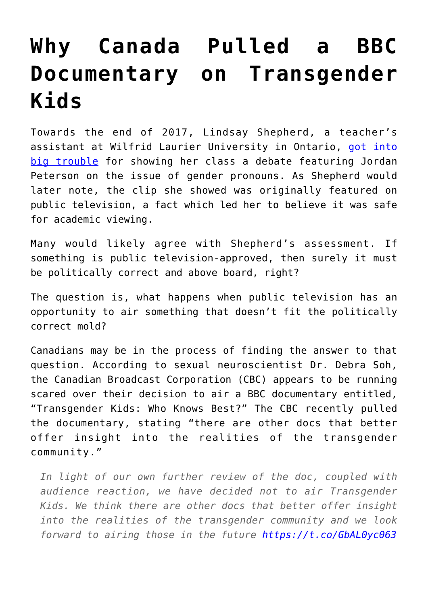## **[Why Canada Pulled a BBC](https://intellectualtakeout.org/2017/12/why-canada-pulled-a-bbc-documentary-on-transgender-kids/) [Documentary on Transgender](https://intellectualtakeout.org/2017/12/why-canada-pulled-a-bbc-documentary-on-transgender-kids/) [Kids](https://intellectualtakeout.org/2017/12/why-canada-pulled-a-bbc-documentary-on-transgender-kids/)**

Towards the end of 2017, Lindsay Shepherd, a teacher's assistant at Wilfrid Laurier University in Ontario, [got into](https://www.intellectualtakeout.org/article/canadian-ta-reveals-objective-truth-not-goal-higher-education) [big trouble](https://www.intellectualtakeout.org/article/canadian-ta-reveals-objective-truth-not-goal-higher-education) for showing her class a debate featuring Jordan Peterson on the issue of gender pronouns. As Shepherd would later note, the clip she showed was originally featured on public television, a fact which led her to believe it was safe for academic viewing.

Many would likely agree with Shepherd's assessment. If something is public television-approved, then surely it must be politically correct and above board, right?

The question is, what happens when public television has an opportunity to air something that doesn't fit the politically correct mold?

Canadians may be in the process of finding the answer to that question. According to sexual neuroscientist Dr. Debra Soh, the Canadian Broadcast Corporation (CBC) appears to be running scared over their decision to air a BBC documentary entitled, "Transgender Kids: Who Knows Best?" The CBC recently pulled the documentary, stating "there are other docs that better offer insight into the realities of the transgender community."

*In light of our own further review of the doc, coupled with audience reaction, we have decided not to air Transgender Kids. We think there are other docs that better offer insight into the realities of the transgender community and we look forward to airing those in the future <https://t.co/GbAL0yc063>*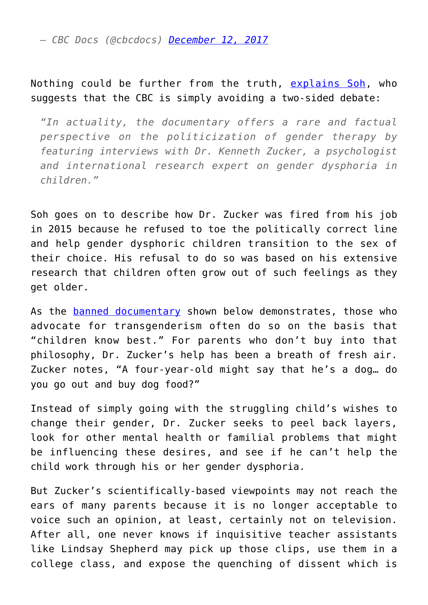*— CBC Docs (@cbcdocs) [December 12, 2017](https://twitter.com/cbcdocs/status/940682742370578432?ref_src=twsrc%5Etfw)*

## Nothing could be further from the truth, [explains Soh,](http://www.cbc.ca/news/opinion/transgender-kids-documentary-1.4453667) who suggests that the CBC is simply avoiding a two-sided debate:

*"In actuality, the documentary offers a rare and factual perspective on the politicization of gender therapy by featuring interviews with Dr. Kenneth Zucker, a psychologist and international research expert on gender dysphoria in children."*

Soh goes on to describe how Dr. Zucker was fired from his job in 2015 because he refused to toe the politically correct line and help gender dysphoric children transition to the sex of their choice. His refusal to do so was based on his extensive research that children often grow out of such feelings as they get older.

As the [banned documentary](https://vimeo.com/247163584) shown below demonstrates, those who advocate for transgenderism often do so on the basis that "children know best." For parents who don't buy into that philosophy, Dr. Zucker's help has been a breath of fresh air. Zucker notes, "A four-year-old might say that he's a dog… do you go out and buy dog food?"

Instead of simply going with the struggling child's wishes to change their gender, Dr. Zucker seeks to peel back layers, look for other mental health or familial problems that might be influencing these desires, and see if he can't help the child work through his or her gender dysphoria.

But Zucker's scientifically-based viewpoints may not reach the ears of many parents because it is no longer acceptable to voice such an opinion, at least, certainly not on television. After all, one never knows if inquisitive teacher assistants like Lindsay Shepherd may pick up those clips, use them in a college class, and expose the quenching of dissent which is